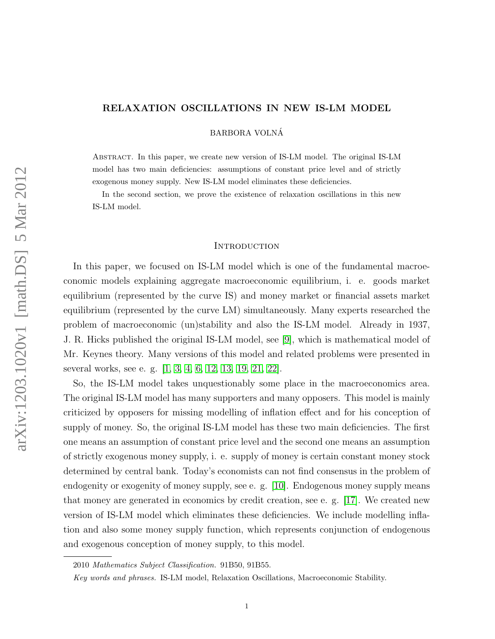# RELAXATION OSCILLATIONS IN NEW IS-LM MODEL

BARBORA VOLNA´

Abstract. In this paper, we create new version of IS-LM model. The original IS-LM model has two main deficiencies: assumptions of constant price level and of strictly exogenous money supply. New IS-LM model eliminates these deficiencies.

In the second section, we prove the existence of relaxation oscillations in this new IS-LM model.

#### **INTRODUCTION**

In this paper, we focused on IS-LM model which is one of the fundamental macroeconomic models explaining aggregate macroeconomic equilibrium, i. e. goods market equilibrium (represented by the curve IS) and money market or financial assets market equilibrium (represented by the curve LM) simultaneously. Many experts researched the problem of macroeconomic (un)stability and also the IS-LM model. Already in 1937, J. R. Hicks published the original IS-LM model, see [\[9\]](#page-19-0), which is mathematical model of Mr. Keynes theory. Many versions of this model and related problems were presented in several works, see e. g. [\[1,](#page-18-0) [3,](#page-18-1) [4,](#page-18-2) [6,](#page-18-3) [12,](#page-19-1) [13,](#page-19-2) [19,](#page-19-3) [21,](#page-19-4) [22\]](#page-19-5).

So, the IS-LM model takes unquestionably some place in the macroeconomics area. The original IS-LM model has many supporters and many opposers. This model is mainly criticized by opposers for missing modelling of inflation effect and for his conception of supply of money. So, the original IS-LM model has these two main deficiencies. The first one means an assumption of constant price level and the second one means an assumption of strictly exogenous money supply, i. e. supply of money is certain constant money stock determined by central bank. Today's economists can not find consensus in the problem of endogenity or exogenity of money supply, see e. g. [\[10\]](#page-19-6). Endogenous money supply means that money are generated in economics by credit creation, see e. g. [\[17\]](#page-19-7). We created new version of IS-LM model which eliminates these deficiencies. We include modelling inflation and also some money supply function, which represents conjunction of endogenous and exogenous conception of money supply, to this model.

<sup>2010</sup> Mathematics Subject Classification. 91B50, 91B55.

Key words and phrases. IS-LM model, Relaxation Oscillations, Macroeconomic Stability.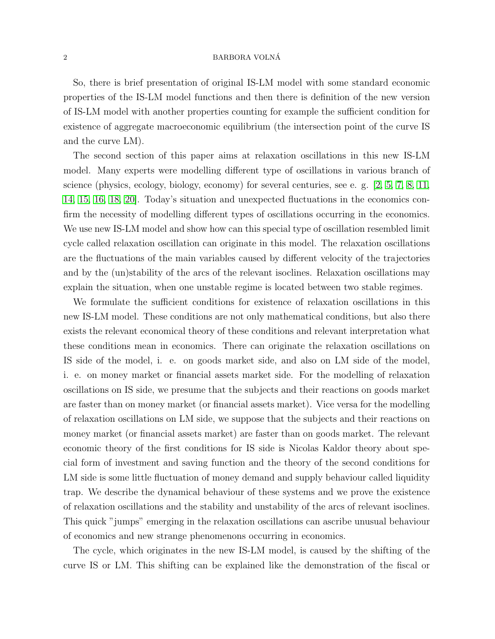So, there is brief presentation of original IS-LM model with some standard economic properties of the IS-LM model functions and then there is definition of the new version of IS-LM model with another properties counting for example the sufficient condition for existence of aggregate macroeconomic equilibrium (the intersection point of the curve IS and the curve LM).

The second section of this paper aims at relaxation oscillations in this new IS-LM model. Many experts were modelling different type of oscillations in various branch of science (physics, ecology, biology, economy) for several centuries, see e. g. [\[2,](#page-18-4) [5,](#page-18-5) [7,](#page-19-8) [8,](#page-19-9) [11,](#page-19-10) [14,](#page-19-11) [15,](#page-19-12) [16,](#page-19-13) [18,](#page-19-14) [20\]](#page-19-15). Today's situation and unexpected fluctuations in the economics confirm the necessity of modelling different types of oscillations occurring in the economics. We use new IS-LM model and show how can this special type of oscillation resembled limit cycle called relaxation oscillation can originate in this model. The relaxation oscillations are the fluctuations of the main variables caused by different velocity of the trajectories and by the (un)stability of the arcs of the relevant isoclines. Relaxation oscillations may explain the situation, when one unstable regime is located between two stable regimes.

We formulate the sufficient conditions for existence of relaxation oscillations in this new IS-LM model. These conditions are not only mathematical conditions, but also there exists the relevant economical theory of these conditions and relevant interpretation what these conditions mean in economics. There can originate the relaxation oscillations on IS side of the model, i. e. on goods market side, and also on LM side of the model, i. e. on money market or financial assets market side. For the modelling of relaxation oscillations on IS side, we presume that the subjects and their reactions on goods market are faster than on money market (or financial assets market). Vice versa for the modelling of relaxation oscillations on LM side, we suppose that the subjects and their reactions on money market (or financial assets market) are faster than on goods market. The relevant economic theory of the first conditions for IS side is Nicolas Kaldor theory about special form of investment and saving function and the theory of the second conditions for LM side is some little fluctuation of money demand and supply behaviour called liquidity trap. We describe the dynamical behaviour of these systems and we prove the existence of relaxation oscillations and the stability and unstability of the arcs of relevant isoclines. This quick "jumps" emerging in the relaxation oscillations can ascribe unusual behaviour of economics and new strange phenomenons occurring in economics.

The cycle, which originates in the new IS-LM model, is caused by the shifting of the curve IS or LM. This shifting can be explained like the demonstration of the fiscal or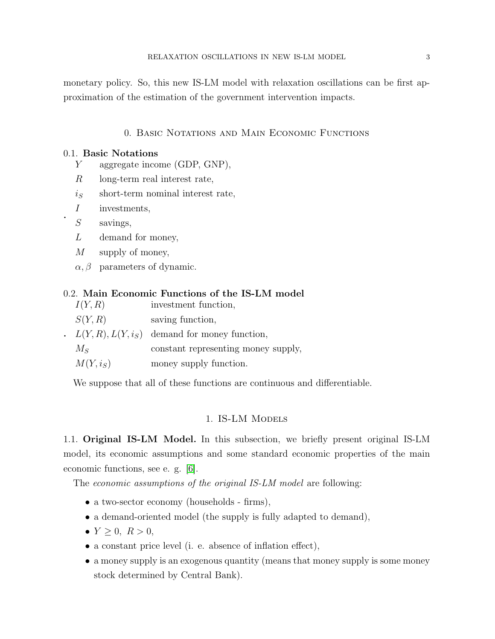monetary policy. So, this new IS-LM model with relaxation oscillations can be first approximation of the estimation of the government intervention impacts.

# 0. Basic Notations and Main Economic Functions

## 0.1. Basic Notations

- Y aggregate income (GDP, GNP),
- R long-term real interest rate,
- $i<sub>S</sub>$  short-term nominal interest rate,
- I investments,
- S savings,

.

- L demand for money,
- M supply of money,
- $\alpha, \beta$  parameters of dynamic.

## 0.2. Main Economic Functions of the IS-LM model

| I(Y,R)     | investment function,                                         |
|------------|--------------------------------------------------------------|
| S(Y,R)     | saving function,                                             |
|            | $\therefore$ $L(Y, R), L(Y, i_S)$ demand for money function, |
| $M_{S}$    | constant representing money supply,                          |
| $M(Y,i_S)$ | money supply function.                                       |

We suppose that all of these functions are continuous and differentiable.

## 1. IS-LM Models

1.1. Original IS-LM Model. In this subsection, we briefly present original IS-LM model, its economic assumptions and some standard economic properties of the main economic functions, see e. g. [\[6\]](#page-18-3).

The *economic assumptions of the original IS-LM model* are following:

- a two-sector economy (households firms),
- a demand-oriented model (the supply is fully adapted to demand),
- $Y > 0, R > 0,$
- a constant price level (i. e. absence of inflation effect),
- a money supply is an exogenous quantity (means that money supply is some money stock determined by Central Bank).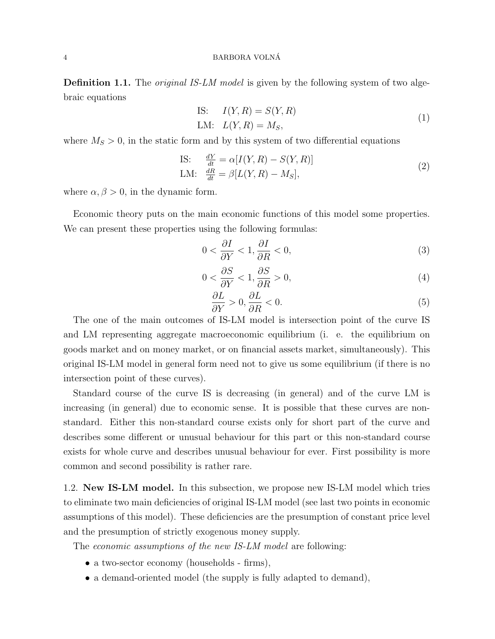**Definition 1.1.** The *original IS-LM model* is given by the following system of two algebraic equations

IS: 
$$
I(Y, R) = S(Y, R)
$$
  
LM:  $L(Y, R) = M_S,$  (1)

where  $M<sub>S</sub> > 0$ , in the static form and by this system of two differential equations

IS: 
$$
\frac{dY}{dt} = \alpha[I(Y, R) - S(Y, R)]
$$
  
LM: 
$$
\frac{dR}{dt} = \beta[L(Y, R) - M_S],
$$
 (2)

where  $\alpha, \beta > 0$ , in the dynamic form.

Economic theory puts on the main economic functions of this model some properties. We can present these properties using the following formulas:

<span id="page-3-0"></span>
$$
0 < \frac{\partial I}{\partial Y} < 1, \frac{\partial I}{\partial R} < 0,\tag{3}
$$

<span id="page-3-1"></span>
$$
0 < \frac{\partial S}{\partial Y} < 1, \frac{\partial S}{\partial R} > 0,\tag{4}
$$

<span id="page-3-2"></span>
$$
\frac{\partial L}{\partial Y} > 0, \frac{\partial L}{\partial R} < 0.
$$
\n<sup>(5)</sup>

The one of the main outcomes of IS-LM model is intersection point of the curve IS and LM representing aggregate macroeconomic equilibrium (i. e. the equilibrium on goods market and on money market, or on financial assets market, simultaneously). This original IS-LM model in general form need not to give us some equilibrium (if there is no intersection point of these curves).

Standard course of the curve IS is decreasing (in general) and of the curve LM is increasing (in general) due to economic sense. It is possible that these curves are nonstandard. Either this non-standard course exists only for short part of the curve and describes some different or unusual behaviour for this part or this non-standard course exists for whole curve and describes unusual behaviour for ever. First possibility is more common and second possibility is rather rare.

1.2. New IS-LM model. In this subsection, we propose new IS-LM model which tries to eliminate two main deficiencies of original IS-LM model (see last two points in economic assumptions of this model). These deficiencies are the presumption of constant price level and the presumption of strictly exogenous money supply.

The *economic assumptions of the new IS-LM model* are following:

- a two-sector economy (households firms),
- a demand-oriented model (the supply is fully adapted to demand),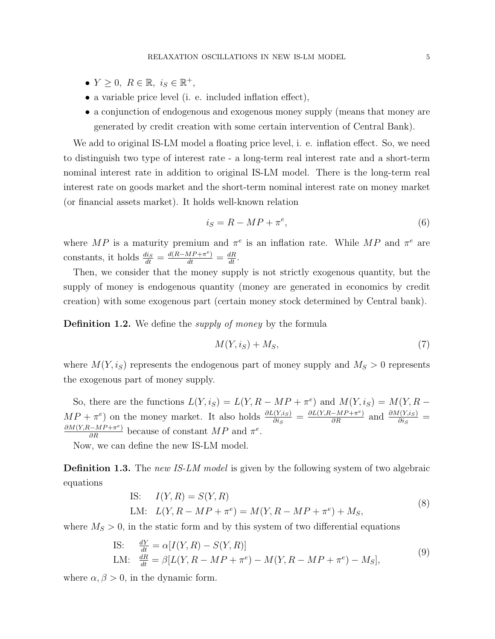- $Y \geq 0$ ,  $R \in \mathbb{R}$ ,  $i_S \in \mathbb{R}^+$ ,
- a variable price level (i. e. included inflation effect),
- a conjunction of endogenous and exogenous money supply (means that money are generated by credit creation with some certain intervention of Central Bank).

We add to original IS-LM model a floating price level, i. e. inflation effect. So, we need to distinguish two type of interest rate - a long-term real interest rate and a short-term nominal interest rate in addition to original IS-LM model. There is the long-term real interest rate on goods market and the short-term nominal interest rate on money market (or financial assets market). It holds well-known relation

$$
i_S = R - MP + \pi^e,\tag{6}
$$

where MP is a maturity premium and  $\pi^e$  is an inflation rate. While MP and  $\pi^e$  are constants, it holds  $\frac{di_S}{dt} = \frac{d(R-MP + \pi^e)}{dt} = \frac{dR}{dt}$ .

Then, we consider that the money supply is not strictly exogenous quantity, but the supply of money is endogenous quantity (money are generated in economics by credit creation) with some exogenous part (certain money stock determined by Central bank).

**Definition 1.2.** We define the *supply of money* by the formula

$$
M(Y, i_S) + M_S, \tag{7}
$$

where  $M(Y, i_S)$  represents the endogenous part of money supply and  $M_S > 0$  represents the exogenous part of money supply.

So, there are the functions  $L(Y, i_S) = L(Y, R - MP + \pi^e)$  and  $M(Y, i_S) = M(Y, R - MP + \pi^e)$  $MP + \pi^e$  on the money market. It also holds  $\frac{\partial L(Y,s)}{\partial i_S} = \frac{\partial L(Y,R-MP + \pi^e)}{\partial R}$  and  $\frac{\partial M(Y,s)}{\partial i_S} =$  $\frac{\partial M(Y,R-MP+\pi^e)}{\partial R}$  because of constant  $MP$  and  $\pi^e$ .

Now, we can define the new IS-LM model.

**Definition 1.3.** The new IS-LM model is given by the following system of two algebraic equations

IS: 
$$
I(Y, R) = S(Y, R)
$$
  
LM:  $L(Y, R - MP + \pi^e) = M(Y, R - MP + \pi^e) + M_S,$  (8)

where  $M<sub>S</sub> > 0$ , in the static form and by this system of two differential equations

IS: 
$$
\frac{dY}{dt} = \alpha[I(Y, R) - S(Y, R)]
$$
  
LM:  $\frac{dR}{dt} = \beta[L(Y, R - MP + \pi^e) - M(Y, R - MP + \pi^e) - M_S],$  (9)

where  $\alpha, \beta > 0$ , in the dynamic form.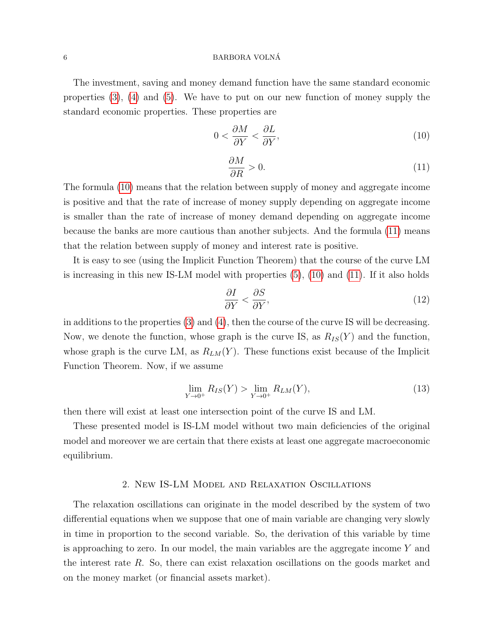#### 6 BARBORA VOLNÁ

The investment, saving and money demand function have the same standard economic properties [\(3\)](#page-3-0), [\(4\)](#page-3-1) and [\(5\)](#page-3-2). We have to put on our new function of money supply the standard economic properties. These properties are

<span id="page-5-0"></span>
$$
0 < \frac{\partial M}{\partial Y} < \frac{\partial L}{\partial Y},\tag{10}
$$

<span id="page-5-1"></span>
$$
\frac{\partial M}{\partial R} > 0. \tag{11}
$$

The formula [\(10\)](#page-5-0) means that the relation between supply of money and aggregate income is positive and that the rate of increase of money supply depending on aggregate income is smaller than the rate of increase of money demand depending on aggregate income because the banks are more cautious than another subjects. And the formula [\(11\)](#page-5-1) means that the relation between supply of money and interest rate is positive.

It is easy to see (using the Implicit Function Theorem) that the course of the curve LM is increasing in this new IS-LM model with properties [\(5\)](#page-3-2), [\(10\)](#page-5-0) and [\(11\)](#page-5-1). If it also holds

<span id="page-5-3"></span>
$$
\frac{\partial I}{\partial Y} < \frac{\partial S}{\partial Y},\tag{12}
$$

in additions to the properties  $(3)$  and  $(4)$ , then the course of the curve IS will be decreasing. Now, we denote the function, whose graph is the curve IS, as  $R_{IS}(Y)$  and the function, whose graph is the curve LM, as  $R_{LM}(Y)$ . These functions exist because of the Implicit Function Theorem. Now, if we assume

<span id="page-5-2"></span>
$$
\lim_{Y \to 0^+} R_{IS}(Y) > \lim_{Y \to 0^+} R_{LM}(Y),\tag{13}
$$

then there will exist at least one intersection point of the curve IS and LM.

These presented model is IS-LM model without two main deficiencies of the original model and moreover we are certain that there exists at least one aggregate macroeconomic equilibrium.

# 2. New IS-LM Model and Relaxation Oscillations

The relaxation oscillations can originate in the model described by the system of two differential equations when we suppose that one of main variable are changing very slowly in time in proportion to the second variable. So, the derivation of this variable by time is approaching to zero. In our model, the main variables are the aggregate income Y and the interest rate R. So, there can exist relaxation oscillations on the goods market and on the money market (or financial assets market).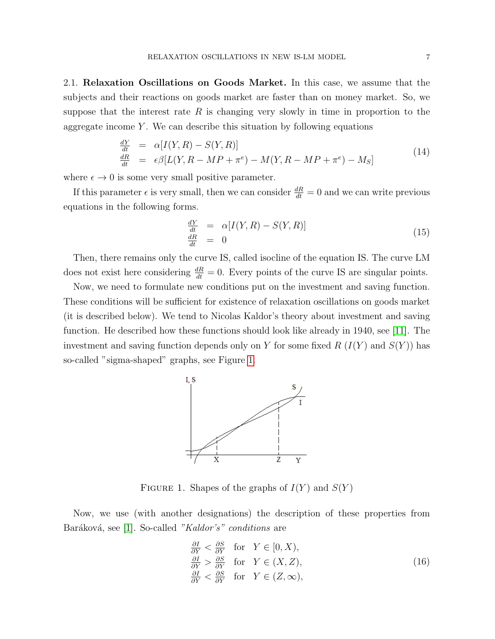2.1. Relaxation Oscillations on Goods Market. In this case, we assume that the subjects and their reactions on goods market are faster than on money market. So, we suppose that the interest rate  $R$  is changing very slowly in time in proportion to the aggregate income  $Y$ . We can describe this situation by following equations

<span id="page-6-1"></span>
$$
\frac{dY}{dt} = \alpha[I(Y, R) - S(Y, R)]
$$
\n
$$
\frac{dR}{dt} = \epsilon \beta[L(Y, R - MP + \pi^e) - M(Y, R - MP + \pi^e) - M_S]
$$
\n(14)

where  $\epsilon \to 0$  is some very small positive parameter.

If this parameter  $\epsilon$  is very small, then we can consider  $\frac{dR}{dt} = 0$  and we can write previous equations in the following forms.

<span id="page-6-3"></span>
$$
\frac{dY}{dt} = \alpha[I(Y, R) - S(Y, R)]
$$
\n
$$
\frac{dR}{dt} = 0
$$
\n(15)

Then, there remains only the curve IS, called isocline of the equation IS. The curve LM does not exist here considering  $\frac{dR}{dt} = 0$ . Every points of the curve IS are singular points.

Now, we need to formulate new conditions put on the investment and saving function. These conditions will be sufficient for existence of relaxation oscillations on goods market (it is described below). We tend to Nicolas Kaldor's theory about investment and saving function. He described how these functions should look like already in 1940, see [\[11\]](#page-19-10). The investment and saving function depends only on Y for some fixed  $R(I(Y)$  and  $S(Y)$  has so-called "sigma-shaped" graphs, see Figure [1.](#page-6-0)



<span id="page-6-0"></span>FIGURE 1. Shapes of the graphs of  $I(Y)$  and  $S(Y)$ 

Now, we use (with another designations) the description of these properties from Baráková, see [\[1\]](#page-18-0). So-called "Kaldor's" conditions are

<span id="page-6-2"></span>
$$
\frac{\partial I}{\partial Y} < \frac{\partial S}{\partial Y} \quad \text{for} \quad Y \in [0, X),\n\frac{\partial I}{\partial Y} > \frac{\partial S}{\partial Y} \quad \text{for} \quad Y \in (X, Z),\n\frac{\partial I}{\partial Y} < \frac{\partial S}{\partial Y} \quad \text{for} \quad Y \in (Z, \infty),\n\tag{16}
$$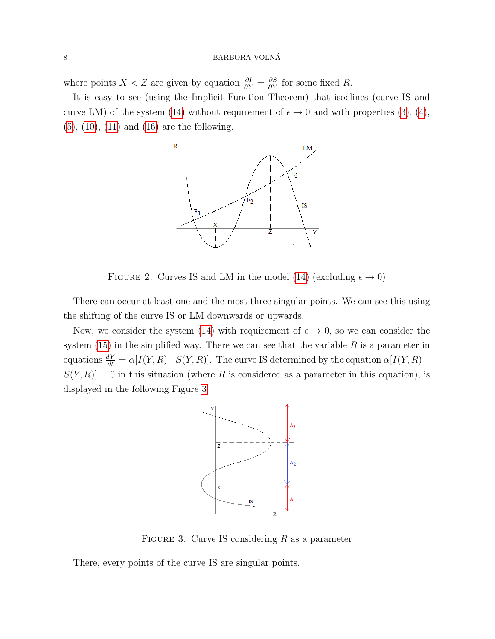where points  $X < Z$  are given by equation  $\frac{\partial I}{\partial Y} = \frac{\partial S}{\partial Y}$  for some fixed R.

It is easy to see (using the Implicit Function Theorem) that isoclines (curve IS and curve LM) of the system [\(14\)](#page-6-1) without requirement of  $\epsilon \to 0$  and with properties [\(3\)](#page-3-0), [\(4\)](#page-3-1),  $(5)$ ,  $(10)$ ,  $(11)$  and  $(16)$  are the following.



<span id="page-7-1"></span>FIGURE 2. Curves IS and LM in the model [\(14\)](#page-6-1) (excluding  $\epsilon \to 0$ )

There can occur at least one and the most three singular points. We can see this using the shifting of the curve IS or LM downwards or upwards.

Now, we consider the system [\(14\)](#page-6-1) with requirement of  $\epsilon \to 0$ , so we can consider the system  $(15)$  in the simplified way. There we can see that the variable R is a parameter in equations  $\frac{dY}{dt} = \alpha[I(Y,R) - S(Y,R)]$ . The curve IS determined by the equation  $\alpha[I(Y,R) - S(Y,R)]$  $S(Y, R) = 0$  in this situation (where R is considered as a parameter in this equation), is displayed in the following Figure [3.](#page-7-0)



<span id="page-7-0"></span>FIGURE 3. Curve IS considering  $R$  as a parameter

There, every points of the curve IS are singular points.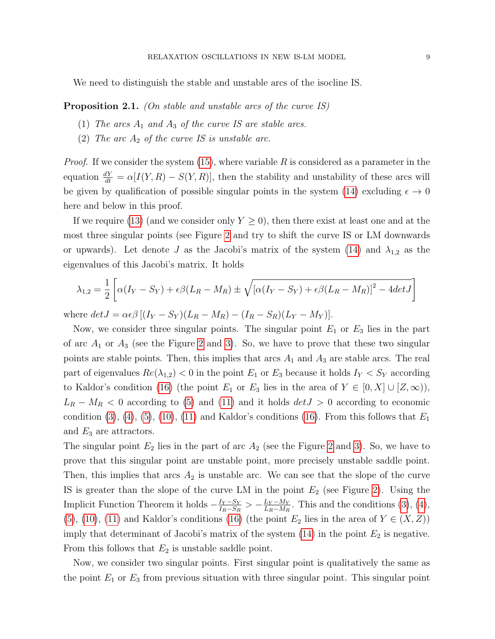We need to distinguish the stable and unstable arcs of the isocline IS.

<span id="page-8-0"></span>**Proposition 2.1.** (On stable and unstable arcs of the curve IS)

- (1) The arcs  $A_1$  and  $A_3$  of the curve IS are stable arcs.
- (2) The arc  $A_2$  of the curve IS is unstable arc.

*Proof.* If we consider the system [\(15\)](#page-6-3), where variable R is considered as a parameter in the equation  $\frac{dY}{dt} = \alpha[I(Y, R) - S(Y, R)]$ , then the stability and unstability of these arcs will be given by qualification of possible singular points in the system [\(14\)](#page-6-1) excluding  $\epsilon \to 0$ here and below in this proof.

If we require [\(13\)](#page-5-2) (and we consider only  $Y \geq 0$ ), then there exist at least one and at the most three singular points (see Figure [2](#page-7-1) and try to shift the curve IS or LM downwards or upwards). Let denote J as the Jacobi's matrix of the system [\(14\)](#page-6-1) and  $\lambda_{1,2}$  as the eigenvalues of this Jacobi's matrix. It holds

<span id="page-8-1"></span>
$$
\lambda_{1,2} = \frac{1}{2} \left[ \alpha(I_Y - S_Y) + \epsilon \beta (L_R - M_R) \pm \sqrt{[\alpha (I_Y - S_Y) + \epsilon \beta (L_R - M_R)]^2 - 4det J} \right]
$$

where  $det J = \alpha \epsilon \beta [(I_Y - S_Y)(L_R - M_R) - (I_R - S_R)(L_Y - M_Y)].$ 

Now, we consider three singular points. The singular point  $E_1$  or  $E_3$  lies in the part of arc  $A_1$  or  $A_3$  (see the Figure [2](#page-7-1) and [3\)](#page-7-0). So, we have to prove that these two singular points are stable points. Then, this implies that arcs  $A_1$  and  $A_3$  are stable arcs. The real part of eigenvalues  $Re(\lambda_{1,2})$  < 0 in the point  $E_1$  or  $E_3$  because it holds  $I_Y < S_Y$  according to Kaldor's condition [\(16\)](#page-6-2) (the point  $E_1$  or  $E_3$  lies in the area of  $Y \in [0, X] \cup [Z, \infty)$ ),  $L_R - M_R < 0$  according to [\(5\)](#page-3-2) and [\(11\)](#page-5-1) and it holds  $det J > 0$  according to economic condition  $(3)$ ,  $(4)$ ,  $(5)$ ,  $(10)$ ,  $(11)$  and Kaldor's conditions  $(16)$ . From this follows that  $E_1$ and  $E_3$  are attractors.

The singular point  $E_2$  lies in the part of arc  $A_2$  (see the Figure [2](#page-7-1) and [3\)](#page-7-0). So, we have to prove that this singular point are unstable point, more precisely unstable saddle point. Then, this implies that arcs  $A_2$  is unstable arc. We can see that the slope of the curve IS is greater than the slope of the curve LM in the point  $E_2$  (see Figure [2\)](#page-7-1). Using the Implicit Function Theorem it holds  $-\frac{I_Y - S_Y}{I_D - S_Y}$  $\frac{I_Y - S_Y}{I_R - S_R} > -\frac{L_Y - M_Y}{L_R - M_R}$  $\frac{L_Y - M_Y}{L_R - M_R}$ . This and the conditions [\(3\)](#page-3-0), [\(4\)](#page-3-1), [\(5\)](#page-3-2), [\(10\)](#page-5-0), [\(11\)](#page-5-1) and Kaldor's conditions [\(16\)](#page-6-2) (the point  $E_2$  lies in the area of  $Y \in (X, Z)$ ) imply that determinant of Jacobi's matrix of the system  $(14)$  in the point  $E_2$  is negative. From this follows that  $E_2$  is unstable saddle point.

Now, we consider two singular points. First singular point is qualitatively the same as the point  $E_1$  or  $E_3$  from previous situation with three singular point. This singular point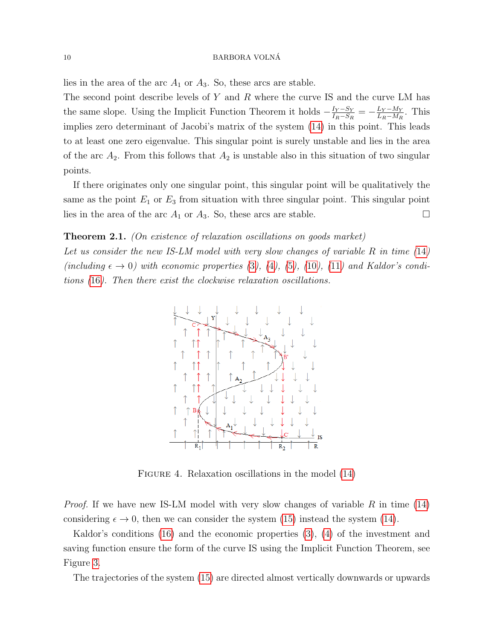lies in the area of the arc  $A_1$  or  $A_3$ . So, these arcs are stable.

The second point describe levels of  $Y$  and  $R$  where the curve IS and the curve LM has the same slope. Using the Implicit Function Theorem it holds  $-\frac{I_Y - S_Y}{I_D - S_Y}$  $\frac{I_Y - S_Y}{I_R - S_R} = -\frac{L_Y - M_Y}{L_R - M_R}$  $\frac{L_Y - M_Y}{L_R - M_R}$ . This implies zero determinant of Jacobi's matrix of the system [\(14\)](#page-6-1) in this point. This leads to at least one zero eigenvalue. This singular point is surely unstable and lies in the area of the arc  $A_2$ . From this follows that  $A_2$  is unstable also in this situation of two singular points.

If there originates only one singular point, this singular point will be qualitatively the same as the point  $E_1$  or  $E_3$  from situation with three singular point. This singular point lies in the area of the arc  $A_1$  or  $A_3$ . So, these arcs are stable.

# **Theorem 2.1.** (On existence of relaxation oscillations on goods market)

Let us consider the new IS-LM model with very slow changes of variable  $R$  in time  $(14)$  $(14)$  $(14)$ (including  $\epsilon \to 0$ ) with economic properties ([3](#page-3-0)), ([4](#page-3-1)), ([5](#page-3-2)), ([10](#page-5-0)), ([11](#page-5-1)) and Kaldor's conditions ([16](#page-6-2)). Then there exist the clockwise relaxation oscillations.



<span id="page-9-0"></span>FIGURE 4. Relaxation oscillations in the model  $(14)$ 

*Proof.* If we have new IS-LM model with very slow changes of variable  $R$  in time [\(14\)](#page-6-1) considering  $\epsilon \to 0$ , then we can consider the system [\(15\)](#page-6-3) instead the system [\(14\)](#page-6-1).

Kaldor's conditions [\(16\)](#page-6-2) and the economic properties [\(3\)](#page-3-0), [\(4\)](#page-3-1) of the investment and saving function ensure the form of the curve IS using the Implicit Function Theorem, see Figure [3.](#page-7-0)

The trajectories of the system [\(15\)](#page-6-3) are directed almost vertically downwards or upwards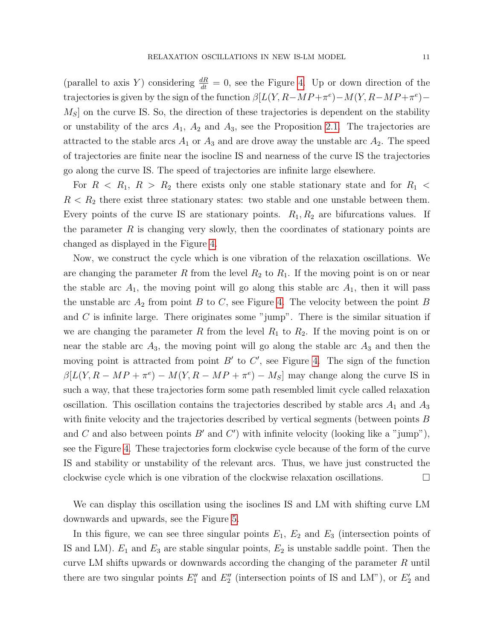(parallel to axis Y) considering  $\frac{dR}{dt} = 0$ , see the Figure [4.](#page-9-0) Up or down direction of the trajectories is given by the sign of the function  $\beta[L(Y, R - MP + \pi^e) - M(Y, R - MP + \pi^e) M<sub>S</sub>$  on the curve IS. So, the direction of these trajectories is dependent on the stability or unstability of the arcs  $A_1$ ,  $A_2$  and  $A_3$ , see the Proposition [2.1.](#page-8-0) The trajectories are attracted to the stable arcs  $A_1$  or  $A_3$  and are drove away the unstable arc  $A_2$ . The speed of trajectories are finite near the isocline IS and nearness of the curve IS the trajectories go along the curve IS. The speed of trajectories are infinite large elsewhere.

For  $R \le R_1, R > R_2$  there exists only one stable stationary state and for  $R_1$  $R < R_2$  there exist three stationary states: two stable and one unstable between them. Every points of the curve IS are stationary points.  $R_1, R_2$  are bifurcations values. If the parameter  $R$  is changing very slowly, then the coordinates of stationary points are changed as displayed in the Figure [4.](#page-9-0)

Now, we construct the cycle which is one vibration of the relaxation oscillations. We are changing the parameter R from the level  $R_2$  to  $R_1$ . If the moving point is on or near the stable arc  $A_1$ , the moving point will go along this stable arc  $A_1$ , then it will pass the unstable arc  $A_2$  from point B to C, see Figure [4.](#page-9-0) The velocity between the point B and  $C$  is infinite large. There originates some "jump". There is the similar situation if we are changing the parameter R from the level  $R_1$  to  $R_2$ . If the moving point is on or near the stable arc  $A_3$ , the moving point will go along the stable arc  $A_3$  and then the moving point is attracted from point  $B'$  to  $C'$ , see Figure [4.](#page-9-0) The sign of the function  $\beta[L(Y, R - MP + \pi^e) - M(Y, R - MP + \pi^e) - M_S]$  may change along the curve IS in such a way, that these trajectories form some path resembled limit cycle called relaxation oscillation. This oscillation contains the trajectories described by stable arcs  $A_1$  and  $A_3$ with finite velocity and the trajectories described by vertical segments (between points B and C and also between points  $B'$  and  $C'$ ) with infinite velocity (looking like a "jump"), see the Figure [4.](#page-9-0) These trajectories form clockwise cycle because of the form of the curve IS and stability or unstability of the relevant arcs. Thus, we have just constructed the clockwise cycle which is one vibration of the clockwise relaxation oscillations.  $\Box$ 

We can display this oscillation using the isoclines IS and LM with shifting curve LM downwards and upwards, see the Figure [5.](#page-11-0)

In this figure, we can see three singular points  $E_1$ ,  $E_2$  and  $E_3$  (intersection points of IS and LM).  $E_1$  and  $E_3$  are stable singular points,  $E_2$  is unstable saddle point. Then the curve LM shifts upwards or downwards according the changing of the parameter R until there are two singular points  $E_1''$  and  $E_2''$  (intersection points of IS and LM"), or  $E_2'$  and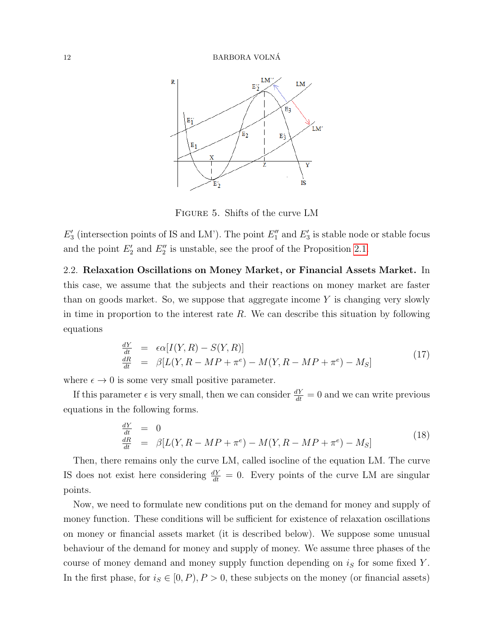

<span id="page-11-0"></span>Figure 5. Shifts of the curve LM

 $E'_3$  (intersection points of IS and LM'). The point  $E''_1$  and  $E'_3$  is stable node or stable focus and the point  $E'_2$  and  $E''_2$  is unstable, see the proof of the Proposition [2.1.](#page-8-0)

2.2. Relaxation Oscillations on Money Market, or Financial Assets Market. In this case, we assume that the subjects and their reactions on money market are faster than on goods market. So, we suppose that aggregate income  $Y$  is changing very slowly in time in proportion to the interest rate  $R$ . We can describe this situation by following equations

$$
\frac{dY}{dt} = \epsilon \alpha [I(Y, R) - S(Y, R)]
$$
\n
$$
\frac{dR}{dt} = \beta [L(Y, R - MP + \pi^e) - M(Y, R - MP + \pi^e) - M_S]
$$
\n(17)

where  $\epsilon \to 0$  is some very small positive parameter.

If this parameter  $\epsilon$  is very small, then we can consider  $\frac{dY}{dt} = 0$  and we can write previous equations in the following forms.

<span id="page-11-1"></span>
$$
\begin{array}{rcl}\n\frac{dY}{dt} & = & 0 \\
\frac{dR}{dt} & = & \beta[L(Y, R - MP + \pi^e) - M(Y, R - MP + \pi^e) - M_S]\n\end{array}\n\tag{18}
$$

Then, there remains only the curve LM, called isocline of the equation LM. The curve IS does not exist here considering  $\frac{dY}{dt} = 0$ . Every points of the curve LM are singular points.

Now, we need to formulate new conditions put on the demand for money and supply of money function. These conditions will be sufficient for existence of relaxation oscillations on money or financial assets market (it is described below). We suppose some unusual behaviour of the demand for money and supply of money. We assume three phases of the course of money demand and money supply function depending on  $i<sub>S</sub>$  for some fixed Y. In the first phase, for  $i_S \in [0, P), P > 0$ , these subjects on the money (or financial assets)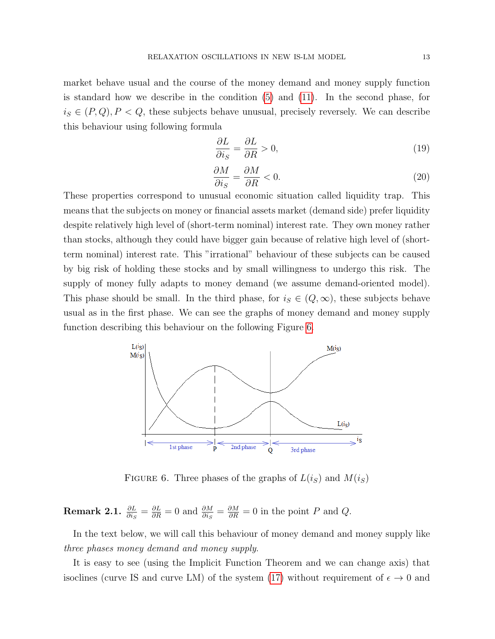market behave usual and the course of the money demand and money supply function is standard how we describe in the condition [\(5\)](#page-3-2) and [\(11\)](#page-5-1). In the second phase, for  $i_S \in (P, Q), P < Q$ , these subjects behave unusual, precisely reversely. We can describe this behaviour using following formula

<span id="page-12-1"></span>
$$
\frac{\partial L}{\partial i_S} = \frac{\partial L}{\partial R} > 0,\tag{19}
$$

<span id="page-12-2"></span>
$$
\frac{\partial M}{\partial i_S} = \frac{\partial M}{\partial R} < 0. \tag{20}
$$

These properties correspond to unusual economic situation called liquidity trap. This means that the subjects on money or financial assets market (demand side) prefer liquidity despite relatively high level of (short-term nominal) interest rate. They own money rather than stocks, although they could have bigger gain because of relative high level of (shortterm nominal) interest rate. This "irrational" behaviour of these subjects can be caused by big risk of holding these stocks and by small willingness to undergo this risk. The supply of money fully adapts to money demand (we assume demand-oriented model). This phase should be small. In the third phase, for  $i_S \in (Q,\infty)$ , these subjects behave usual as in the first phase. We can see the graphs of money demand and money supply function describing this behaviour on the following Figure [6.](#page-12-0)



<span id="page-12-0"></span>FIGURE 6. Three phases of the graphs of  $L(i_S)$  and  $M(i_S)$ 

**Remark 2.1.**  $\frac{\partial L}{\partial i_S} = \frac{\partial L}{\partial R} = 0$  and  $\frac{\partial M}{\partial i_S} = \frac{\partial M}{\partial R} = 0$  in the point P and Q.

In the text below, we will call this behaviour of money demand and money supply like three phases money demand and money supply.

It is easy to see (using the Implicit Function Theorem and we can change axis) that isoclines (curve IS and curve LM) of the system [\(17\)](#page-8-1) without requirement of  $\epsilon \to 0$  and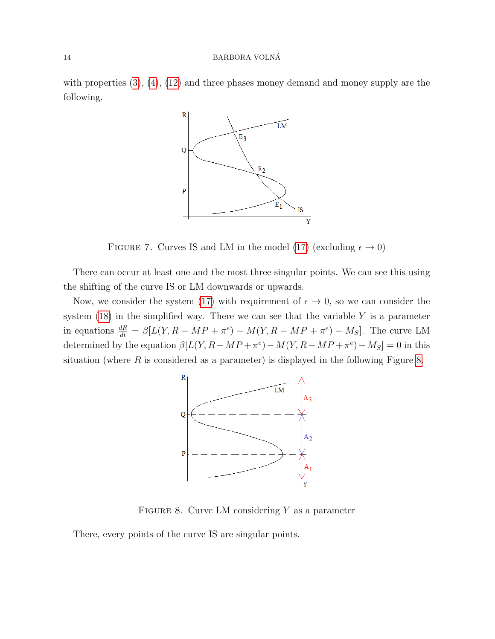with properties  $(3)$ ,  $(4)$ ,  $(12)$  and three phases money demand and money supply are the following.



<span id="page-13-1"></span>FIGURE 7. Curves IS and LM in the model [\(17\)](#page-8-1) (excluding  $\epsilon \to 0$ )

There can occur at least one and the most three singular points. We can see this using the shifting of the curve IS or LM downwards or upwards.

Now, we consider the system [\(17\)](#page-8-1) with requirement of  $\epsilon \to 0$ , so we can consider the system  $(18)$  in the simplified way. There we can see that the variable Y is a parameter in equations  $\frac{dR}{dt} = \beta[L(Y, R - MP + \pi^e) - M(Y, R - MP + \pi^e) - M_S]$ . The curve LM determined by the equation  $\beta[L(Y, R - MP + \pi^e) - M(Y, R - MP + \pi^e) - M_S] = 0$  in this situation (where  $R$  is considered as a parameter) is displayed in the following Figure [8.](#page-13-0)



<span id="page-13-0"></span>FIGURE 8. Curve LM considering  $Y$  as a parameter

There, every points of the curve IS are singular points.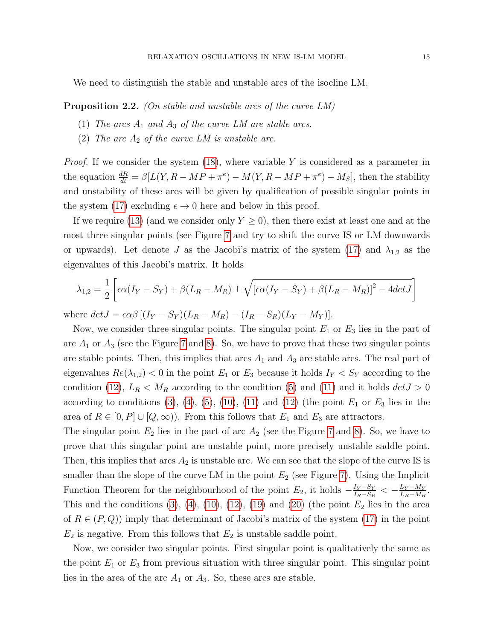We need to distinguish the stable and unstable arcs of the isocline LM.

<span id="page-14-0"></span>**Proposition 2.2.** (On stable and unstable arcs of the curve LM)

- (1) The arcs  $A_1$  and  $A_3$  of the curve LM are stable arcs.
- (2) The arc  $A_2$  of the curve LM is unstable arc.

*Proof.* If we consider the system  $(18)$ , where variable Y is considered as a parameter in the equation  $\frac{dR}{dt} = \beta[L(Y, R - MP + \pi^e) - M(Y, R - MP + \pi^e) - M_S]$ , then the stability and unstability of these arcs will be given by qualification of possible singular points in the system [\(17\)](#page-8-1) excluding  $\epsilon \to 0$  here and below in this proof.

If we require [\(13\)](#page-5-2) (and we consider only  $Y \geq 0$ ), then there exist at least one and at the most three singular points (see Figure [7](#page-13-1) and try to shift the curve IS or LM downwards or upwards). Let denote J as the Jacobi's matrix of the system [\(17\)](#page-8-1) and  $\lambda_{1,2}$  as the eigenvalues of this Jacobi's matrix. It holds

$$
\lambda_{1,2} = \frac{1}{2} \left[ \epsilon \alpha (I_Y - S_Y) + \beta (L_R - M_R) \pm \sqrt{[\epsilon \alpha (I_Y - S_Y) + \beta (L_R - M_R)]^2 - 4det J} \right]
$$

where  $det J = \epsilon \alpha \beta [(I_Y - S_Y)(L_R - M_R) - (I_R - S_R)(L_Y - M_Y)].$ 

Now, we consider three singular points. The singular point  $E_1$  or  $E_3$  lies in the part of arc  $A_1$  or  $A_3$  (see the Figure [7](#page-13-1) and [8\)](#page-13-0). So, we have to prove that these two singular points are stable points. Then, this implies that arcs  $A_1$  and  $A_3$  are stable arcs. The real part of eigenvalues  $Re(\lambda_{1,2})$  < 0 in the point  $E_1$  or  $E_3$  because it holds  $I_Y < S_Y$  according to the condition [\(12\)](#page-5-3),  $L_R < M_R$  according to the condition [\(5\)](#page-3-2) and [\(11\)](#page-5-1) and it holds  $det J > 0$ according to conditions  $(3)$ ,  $(4)$ ,  $(5)$ ,  $(10)$ ,  $(11)$  and  $(12)$  (the point  $E_1$  or  $E_3$  lies in the area of  $R \in [0, P] \cup [Q, \infty)$ . From this follows that  $E_1$  and  $E_3$  are attractors.

The singular point  $E_2$  lies in the part of arc  $A_2$  (see the Figure [7](#page-13-1) and [8\)](#page-13-0). So, we have to prove that this singular point are unstable point, more precisely unstable saddle point. Then, this implies that arcs  $A_2$  is unstable arc. We can see that the slope of the curve IS is smaller than the slope of the curve LM in the point  $E_2$  (see Figure [7\)](#page-13-1). Using the Implicit Function Theorem for the neighbourhood of the point  $E_2$ , it holds  $-\frac{I_Y - S_Y}{I_P - S_Y}$  $\frac{I_Y - S_Y}{I_R - S_R} < -\frac{L_Y - M_Y}{L_R - M_R}$  $rac{L_Y - M_Y}{L_R - M_R}$ . This and the conditions  $(3)$ ,  $(4)$ ,  $(10)$ ,  $(12)$ ,  $(19)$  and  $(20)$  (the point  $E_2$  lies in the area of  $R \in (P,Q)$  imply that determinant of Jacobi's matrix of the system [\(17\)](#page-8-1) in the point  $E_2$  is negative. From this follows that  $E_2$  is unstable saddle point.

Now, we consider two singular points. First singular point is qualitatively the same as the point  $E_1$  or  $E_3$  from previous situation with three singular point. This singular point lies in the area of the arc  $A_1$  or  $A_3$ . So, these arcs are stable.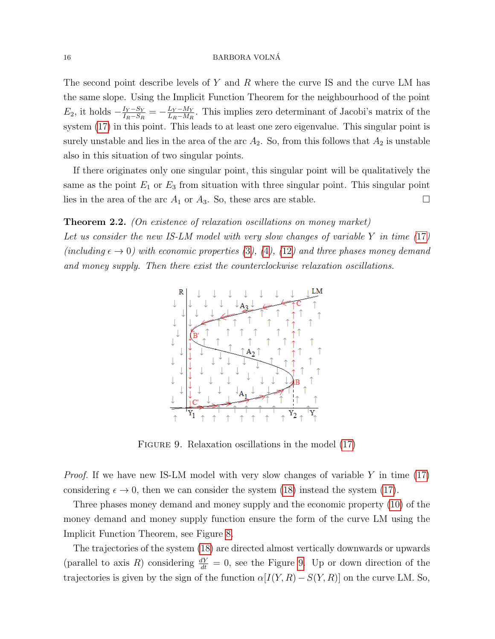#### 16 BARBORA VOLNÁ

The second point describe levels of Y and R where the curve IS and the curve LM has the same slope. Using the Implicit Function Theorem for the neighbourhood of the point  $E_2$ , it holds  $-\frac{I_Y - S_Y}{I_P - S_E}$  $\frac{I_Y - S_Y}{I_R - S_R} = -\frac{L_Y - M_Y}{L_R - M_R}$  $\frac{L_Y - M_Y}{L_R - M_R}$ . This implies zero determinant of Jacobi's matrix of the system [\(17\)](#page-8-1) in this point. This leads to at least one zero eigenvalue. This singular point is surely unstable and lies in the area of the arc  $A_2$ . So, from this follows that  $A_2$  is unstable also in this situation of two singular points.

If there originates only one singular point, this singular point will be qualitatively the same as the point  $E_1$  or  $E_3$  from situation with three singular point. This singular point lies in the area of the arc  $A_1$  or  $A_3$ . So, these arcs are stable.

# **Theorem 2.2.** (On existence of relaxation oscillations on money market)

Let us consider the new IS-LM model with very slow changes of variable  $Y$  in time  $(17)$  $(17)$  $(17)$ (including  $\epsilon \to 0$ ) with economic properties ([3](#page-3-0)), ([4](#page-3-1)), ([12](#page-5-3)) and three phases money demand and money supply. Then there exist the counterclockwise relaxation oscillations.



<span id="page-15-0"></span>FIGURE 9. Relaxation oscillations in the model  $(17)$ 

*Proof.* If we have new IS-LM model with very slow changes of variable Y in time  $(17)$ considering  $\epsilon \to 0$ , then we can consider the system [\(18\)](#page-11-1) instead the system [\(17\)](#page-8-1).

Three phases money demand and money supply and the economic property [\(10\)](#page-5-0) of the money demand and money supply function ensure the form of the curve LM using the Implicit Function Theorem, see Figure [8.](#page-13-0)

The trajectories of the system [\(18\)](#page-11-1) are directed almost vertically downwards or upwards (parallel to axis R) considering  $\frac{dY}{dt} = 0$ , see the Figure [9.](#page-15-0) Up or down direction of the trajectories is given by the sign of the function  $\alpha[I(Y, R) - S(Y, R)]$  on the curve LM. So,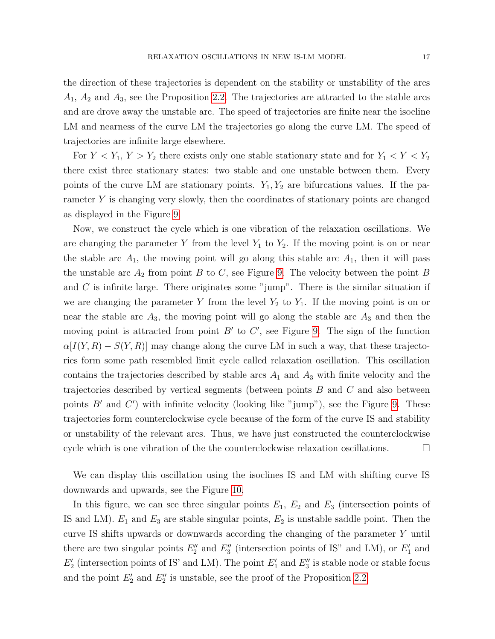the direction of these trajectories is dependent on the stability or unstability of the arcs  $A_1$ ,  $A_2$  and  $A_3$ , see the Proposition [2.2.](#page-14-0) The trajectories are attracted to the stable arcs and are drove away the unstable arc. The speed of trajectories are finite near the isocline LM and nearness of the curve LM the trajectories go along the curve LM. The speed of trajectories are infinite large elsewhere.

For  $Y < Y_1, Y > Y_2$  there exists only one stable stationary state and for  $Y_1 < Y < Y_2$ there exist three stationary states: two stable and one unstable between them. Every points of the curve LM are stationary points.  $Y_1, Y_2$  are bifurcations values. If the parameter Y is changing very slowly, then the coordinates of stationary points are changed as displayed in the Figure [9.](#page-15-0)

Now, we construct the cycle which is one vibration of the relaxation oscillations. We are changing the parameter Y from the level  $Y_1$  to  $Y_2$ . If the moving point is on or near the stable arc  $A_1$ , the moving point will go along this stable arc  $A_1$ , then it will pass the unstable arc  $A_2$  from point B to C, see Figure [9.](#page-15-0) The velocity between the point B and  $C$  is infinite large. There originates some "jump". There is the similar situation if we are changing the parameter Y from the level  $Y_2$  to  $Y_1$ . If the moving point is on or near the stable arc  $A_3$ , the moving point will go along the stable arc  $A_3$  and then the moving point is attracted from point  $B'$  to  $C'$ , see Figure [9.](#page-15-0) The sign of the function  $\alpha[I(Y,R) - S(Y,R)]$  may change along the curve LM in such a way, that these trajectories form some path resembled limit cycle called relaxation oscillation. This oscillation contains the trajectories described by stable arcs  $A_1$  and  $A_3$  with finite velocity and the trajectories described by vertical segments (between points B and C and also between points  $B'$  and  $C'$ ) with infinite velocity (looking like "jump"), see the Figure [9.](#page-15-0) These trajectories form counterclockwise cycle because of the form of the curve IS and stability or unstability of the relevant arcs. Thus, we have just constructed the counterclockwise cycle which is one vibration of the the counterclockwise relaxation oscillations.

We can display this oscillation using the isoclines IS and LM with shifting curve IS downwards and upwards, see the Figure [10.](#page-17-0)

In this figure, we can see three singular points  $E_1$ ,  $E_2$  and  $E_3$  (intersection points of IS and LM).  $E_1$  and  $E_3$  are stable singular points,  $E_2$  is unstable saddle point. Then the curve IS shifts upwards or downwards according the changing of the parameter Y until there are two singular points  $E_2''$  and  $E_3''$  (intersection points of IS" and LM), or  $E_1'$  and  $E'_{2}$  (intersection points of IS' and LM). The point  $E'_{1}$  and  $E''_{3}$  is stable node or stable focus and the point  $E'_2$  and  $E''_2$  is unstable, see the proof of the Proposition [2.2.](#page-14-0)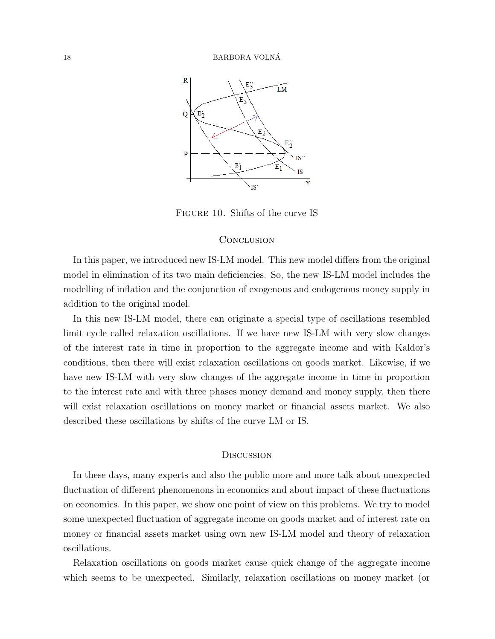

Figure 10. Shifts of the curve IS

## <span id="page-17-0"></span>**CONCLUSION**

In this paper, we introduced new IS-LM model. This new model differs from the original model in elimination of its two main deficiencies. So, the new IS-LM model includes the modelling of inflation and the conjunction of exogenous and endogenous money supply in addition to the original model.

In this new IS-LM model, there can originate a special type of oscillations resembled limit cycle called relaxation oscillations. If we have new IS-LM with very slow changes of the interest rate in time in proportion to the aggregate income and with Kaldor's conditions, then there will exist relaxation oscillations on goods market. Likewise, if we have new IS-LM with very slow changes of the aggregate income in time in proportion to the interest rate and with three phases money demand and money supply, then there will exist relaxation oscillations on money market or financial assets market. We also described these oscillations by shifts of the curve LM or IS.

#### **DISCUSSION**

In these days, many experts and also the public more and more talk about unexpected fluctuation of different phenomenons in economics and about impact of these fluctuations on economics. In this paper, we show one point of view on this problems. We try to model some unexpected fluctuation of aggregate income on goods market and of interest rate on money or financial assets market using own new IS-LM model and theory of relaxation oscillations.

Relaxation oscillations on goods market cause quick change of the aggregate income which seems to be unexpected. Similarly, relaxation oscillations on money market (or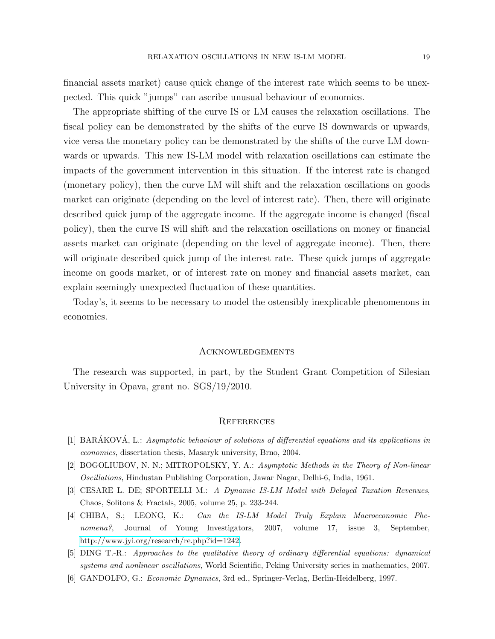financial assets market) cause quick change of the interest rate which seems to be unexpected. This quick "jumps" can ascribe unusual behaviour of economics.

The appropriate shifting of the curve IS or LM causes the relaxation oscillations. The fiscal policy can be demonstrated by the shifts of the curve IS downwards or upwards, vice versa the monetary policy can be demonstrated by the shifts of the curve LM downwards or upwards. This new IS-LM model with relaxation oscillations can estimate the impacts of the government intervention in this situation. If the interest rate is changed (monetary policy), then the curve LM will shift and the relaxation oscillations on goods market can originate (depending on the level of interest rate). Then, there will originate described quick jump of the aggregate income. If the aggregate income is changed (fiscal policy), then the curve IS will shift and the relaxation oscillations on money or financial assets market can originate (depending on the level of aggregate income). Then, there will originate described quick jump of the interest rate. These quick jumps of aggregate income on goods market, or of interest rate on money and financial assets market, can explain seemingly unexpected fluctuation of these quantities.

Today's, it seems to be necessary to model the ostensibly inexplicable phenomenons in economics.

## **ACKNOWLEDGEMENTS**

The research was supported, in part, by the Student Grant Competition of Silesian University in Opava, grant no. SGS/19/2010.

## **REFERENCES**

- <span id="page-18-0"></span>[1] BARÁKOVÁ, L.: Asymptotic behaviour of solutions of differential equations and its applications in economics, dissertation thesis, Masaryk university, Brno, 2004.
- <span id="page-18-4"></span>[2] BOGOLIUBOV, N. N.; MITROPOLSKY, Y. A.: Asymptotic Methods in the Theory of Non-linear Oscillations, Hindustan Publishing Corporation, Jawar Nagar, Delhi-6, India, 1961.
- <span id="page-18-1"></span>[3] CESARE L. DE; SPORTELLI M.: A Dynamic IS-LM Model with Delayed Taxation Revenues, Chaos, Solitons & Fractals, 2005, volume 25, p. 233-244.
- <span id="page-18-2"></span>[4] CHIBA, S.; LEONG, K.: Can the IS-LM Model Truly Explain Macroeconomic Phenomena?, Journal of Young Investigators, 2007, volume 17, issue 3, September, [http://www.jyi.org/research/re.php?id=1242.](http://www.jyi.org/research/re.php?id=1242)
- <span id="page-18-5"></span>[5] DING T.-R.: Approaches to the qualitative theory of ordinary differential equations: dynamical systems and nonlinear oscillations, World Scientific, Peking University series in mathematics, 2007.
- <span id="page-18-3"></span>[6] GANDOLFO, G.: Economic Dynamics, 3rd ed., Springer-Verlag, Berlin-Heidelberg, 1997.